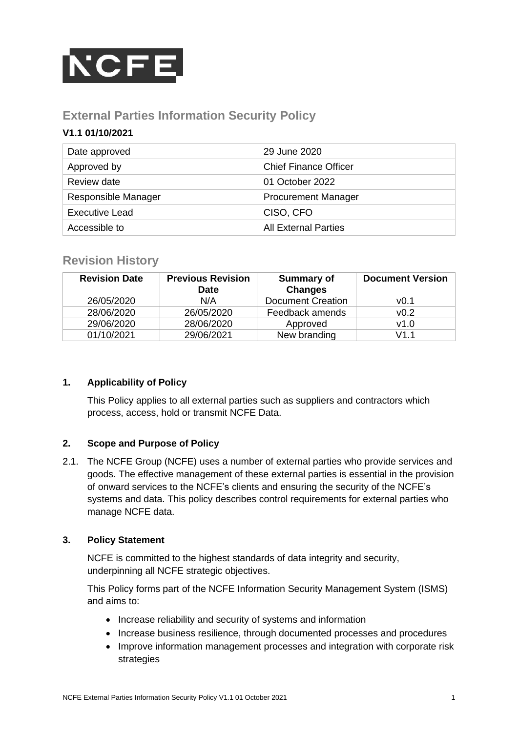

# **External Parties Information Security Policy**

## **V1.1 01/10/2021**

| Date approved       | 29 June 2020                 |
|---------------------|------------------------------|
| Approved by         | <b>Chief Finance Officer</b> |
| Review date         | 01 October 2022              |
| Responsible Manager | <b>Procurement Manager</b>   |
| Executive Lead      | CISO, CFO                    |
| Accessible to       | <b>All External Parties</b>  |

# **Revision History**

| <b>Revision Date</b> | <b>Previous Revision</b><br><b>Date</b> | <b>Summary of</b><br><b>Changes</b> | <b>Document Version</b> |
|----------------------|-----------------------------------------|-------------------------------------|-------------------------|
| 26/05/2020           | N/A                                     | <b>Document Creation</b>            | v0.1                    |
| 28/06/2020           | 26/05/2020                              | Feedback amends                     | v0.2                    |
| 29/06/2020           | 28/06/2020                              | Approved                            | v1.0                    |
| 01/10/2021           | 29/06/2021                              | New branding                        | V1 1                    |

### **1. Applicability of Policy**

This Policy applies to all external parties such as suppliers and contractors which process, access, hold or transmit NCFE Data.

### **2. Scope and Purpose of Policy**

2.1. The NCFE Group (NCFE) uses a number of external parties who provide services and goods. The effective management of these external parties is essential in the provision of onward services to the NCFE's clients and ensuring the security of the NCFE's systems and data. This policy describes control requirements for external parties who manage NCFE data.

## **3. Policy Statement**

NCFE is committed to the highest standards of data integrity and security, underpinning all NCFE strategic objectives.

This Policy forms part of the NCFE Information Security Management System (ISMS) and aims to:

- Increase reliability and security of systems and information
- Increase business resilience, through documented processes and procedures
- Improve information management processes and integration with corporate risk strategies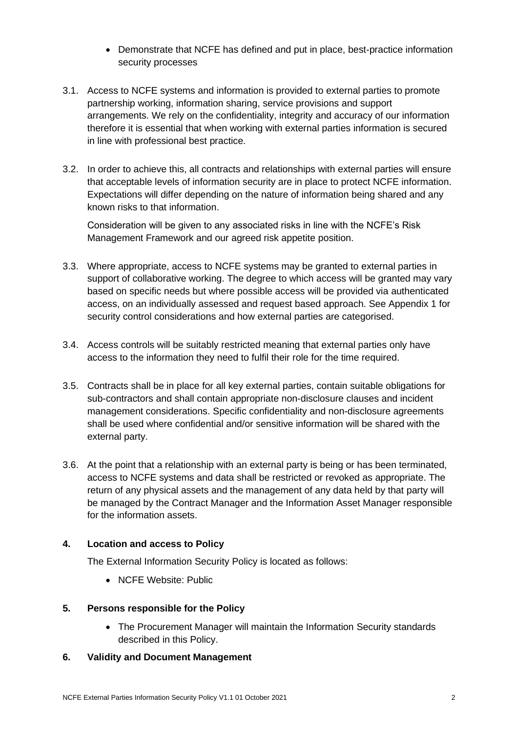- Demonstrate that NCFE has defined and put in place, best-practice information security processes
- 3.1. Access to NCFE systems and information is provided to external parties to promote partnership working, information sharing, service provisions and support arrangements. We rely on the confidentiality, integrity and accuracy of our information therefore it is essential that when working with external parties information is secured in line with professional best practice.
- 3.2. In order to achieve this, all contracts and relationships with external parties will ensure that acceptable levels of information security are in place to protect NCFE information. Expectations will differ depending on the nature of information being shared and any known risks to that information.

Consideration will be given to any associated risks in line with the NCFE's Risk Management Framework and our agreed risk appetite position.

- 3.3. Where appropriate, access to NCFE systems may be granted to external parties in support of collaborative working. The degree to which access will be granted may vary based on specific needs but where possible access will be provided via authenticated access, on an individually assessed and request based approach. See Appendix 1 for security control considerations and how external parties are categorised.
- 3.4. Access controls will be suitably restricted meaning that external parties only have access to the information they need to fulfil their role for the time required.
- 3.5. Contracts shall be in place for all key external parties, contain suitable obligations for sub-contractors and shall contain appropriate non-disclosure clauses and incident management considerations. Specific confidentiality and non-disclosure agreements shall be used where confidential and/or sensitive information will be shared with the external party.
- 3.6. At the point that a relationship with an external party is being or has been terminated, access to NCFE systems and data shall be restricted or revoked as appropriate. The return of any physical assets and the management of any data held by that party will be managed by the Contract Manager and the Information Asset Manager responsible for the information assets.

## **4. Location and access to Policy**

The External Information Security Policy is located as follows:

• NCFE Website: Public

### **5. Persons responsible for the Policy**

• The Procurement Manager will maintain the Information Security standards described in this Policy.

### **6. Validity and Document Management**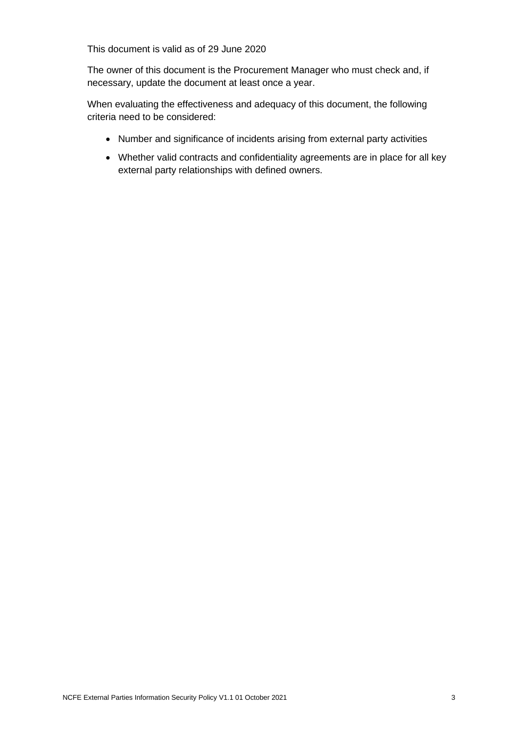This document is valid as of 29 June 2020

The owner of this document is the Procurement Manager who must check and, if necessary, update the document at least once a year.

When evaluating the effectiveness and adequacy of this document, the following criteria need to be considered:

- Number and significance of incidents arising from external party activities
- Whether valid contracts and confidentiality agreements are in place for all key external party relationships with defined owners.